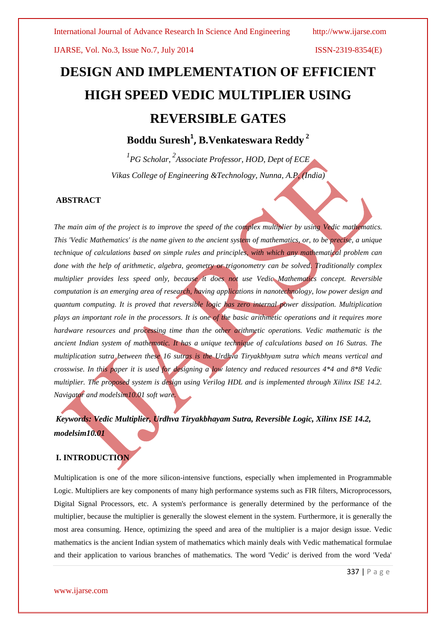# **DESIGN AND IMPLEMENTATION OF EFFICIENT HIGH SPEED VEDIC MULTIPLIER USING REVERSIBLE GATES**

**Boddu Suresh<sup>1</sup> , B.Venkateswara Reddy <sup>2</sup>**

*1 PG Scholar, <sup>2</sup> Associate Professor, HOD, Dept of ECE Vikas College of Engineering &Technology, Nunna, A.P, (India)*

#### **ABSTRACT**

*The main aim of the project is to improve the speed of the complex multiplier by using Vedic mathematics. This 'Vedic Mathematics' is the name given to the ancient system of mathematics, or, to be precise, a unique technique of calculations based on simple rules and principles, with which any mathematical problem can done with the help of arithmetic, algebra, geometry or trigonometry can be solved. Traditionally complex multiplier provides less speed only, because it does not use Vedic Mathematics concept. Reversible computation is an emerging area of research, having applications in nanotechnology, low power design and quantum computing. It is proved that reversible logic has zero internal power dissipation. Multiplication plays an important role in the processors. It is one of the basic arithmetic operations and it requires more hardware resources and processing time than the other arithmetic operations. Vedic mathematic is the ancient Indian system of mathematic. It has a unique technique of calculations based on 16 Sutras. The multiplication sutra between these 16 sutras is the Urdhva Tiryakbhyam sutra which means vertical and crosswise. In this paper it is used for designing a low latency and reduced resources 4\*4 and 8\*8 Vedic multiplier. The proposed system is design using Verilog HDL and is implemented through Xilinx ISE 14.2. Navigator and modelsim10.01 soft ware.*

## *Keywords: Vedic Multiplier, Urdhva Tiryakbhayam Sutra, Reversible Logic, Xilinx ISE 14.2, modelsim10.01*

### **I. INTRODUCTION**

Multiplication is one of the more silicon-intensive functions, especially when implemented in Programmable Logic. Multipliers are key components of many high performance systems such as FIR filters, Microprocessors, Digital Signal Processors, etc. A system's performance is generally determined by the performance of the multiplier, because the multiplier is generally the slowest element in the system. Furthermore, it is generally the most area consuming. Hence, optimizing the speed and area of the multiplier is a major design issue. Vedic mathematics is the ancient Indian system of mathematics which mainly deals with Vedic mathematical formulae and their application to various branches of mathematics. The word 'Vedic' is derived from the word 'Veda'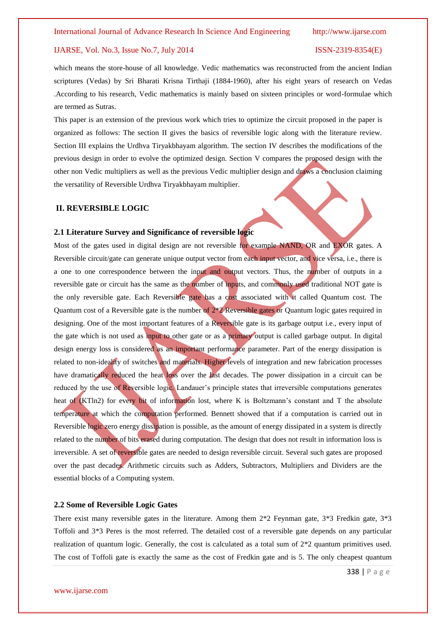which means the store-house of all knowledge. Vedic mathematics was reconstructed from the ancient Indian scriptures (Vedas) by Sri Bharati Krisna Tirthaji (1884-1960), after his eight years of research on Vedas .According to his research, Vedic mathematics is mainly based on sixteen principles or word-formulae which are termed as Sutras.

This paper is an extension of the previous work which tries to optimize the circuit proposed in the paper is organized as follows: The section II gives the basics of reversible logic along with the literature review. Section III explains the Urdhva Tiryakbhayam algorithm. The section IV describes the modifications of the previous design in order to evolve the optimized design. Section V compares the proposed design with the other non Vedic multipliers as well as the previous Vedic multiplier design and draws a conclusion claiming the versatility of Reversible Urdhva Tiryakbhayam multiplier.

#### **II. REVERSIBLE LOGIC**

#### **2.1 Literature Survey and Significance of reversible logic**

Most of the gates used in digital design are not reversible for example NAND, OR and EXOR gates. A Reversible circuit/gate can generate unique output vector from each input vector, and vice versa, i.e., there is a one to one correspondence between the input and output vectors. Thus, the number of outputs in a reversible gate or circuit has the same as the number of inputs, and commonly used traditional NOT gate is the only reversible gate. Each Reversible gate has a cost associated with it called Quantum cost. The Quantum cost of a Reversible gate is the number of 2\*2 Reversible gates or Quantum logic gates required in designing. One of the most important features of a Reversible gate is its garbage output i.e., every input of the gate which is not used as input to other gate or as a primary output is called garbage output. In digital design energy loss is considered as an important performance parameter. Part of the energy dissipation is related to non-ideality of switches and materials. Higher levels of integration and new fabrication processes have dramatically reduced the heat loss over the last decades. The power dissipation in a circuit can be reduced by the use of Reversible logic. Landauer's principle states that irreversible computations generates heat of (KTln2) for every bit of information lost, where K is Boltzmann's constant and T the absolute temperature at which the computation performed. Bennett showed that if a computation is carried out in Reversible logic zero energy dissipation is possible, as the amount of energy dissipated in a system is directly related to the number of bits erased during computation. The design that does not result in information loss is irreversible. A set of reversible gates are needed to design reversible circuit. Several such gates are proposed over the past decades. Arithmetic circuits such as Adders, Subtractors, Multipliers and Dividers are the essential blocks of a Computing system.

#### **2.2 Some of Reversible Logic Gates**

There exist many reversible gates in the literature. Among them 2\*2 Feynman gate, 3\*3 Fredkin gate, 3\*3 Toffoli and 3\*3 Peres is the most referred. The detailed cost of a reversible gate depends on any particular realization of quantum logic. Generally, the cost is calculated as a total sum of  $2*2$  quantum primitives used. The cost of Toffoli gate is exactly the same as the cost of Fredkin gate and is 5. The only cheapest quantum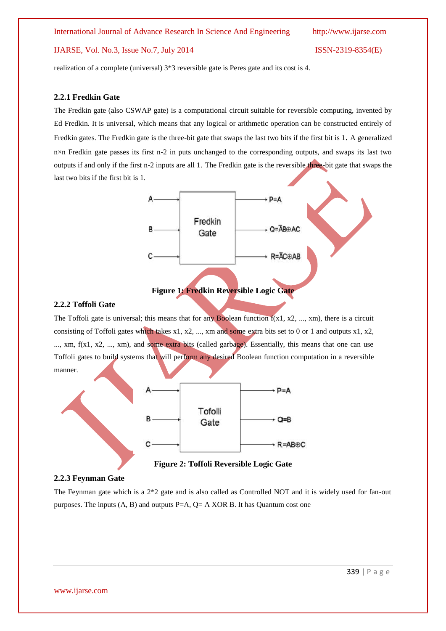realization of a complete (universal) 3\*3 reversible gate is Peres gate and its cost is 4.

#### **2.2.1 Fredkin Gate**

The Fredkin gate (also CSWAP gate) is a computational circuit suitable for reversible computing, invented by Ed Fredkin. It is universal, which means that any logical or arithmetic operation can be constructed entirely of Fredkin gates. The Fredkin gate is the three-bit gate that swaps the last two bits if the first bit is 1. A generalized n×n Fredkin gate passes its first n-2 in puts unchanged to the corresponding outputs, and swaps its last two outputs if and only if the first n-2 inputs are all 1. The Fredkin gate is the reversible three-bit gate that swaps the last two bits if the first bit is 1.



#### **Figure 1: Fredkin Reversible Logic Gate**

#### **2.2.2 Toffoli Gate**

The Toffoli gate is universal; this means that for any Boolean function  $f(x_1, x_2, ..., x_m)$ , there is a circuit consisting of Toffoli gates which takes  $x1, x2, ...$ , xm and some extra bits set to 0 or 1 and outputs  $x1, x2, ...$ ..., xm,  $f(x1, x2, \ldots, xm)$ , and some extra bits (called garbage). Essentially, this means that one can use Toffoli gates to build systems that will perform any desired Boolean function computation in a reversible manner.





#### **2.2.3 Feynman Gate**

The Feynman gate which is a  $2 \times 2$  gate and is also called as Controlled NOT and it is widely used for fan-out purposes. The inputs  $(A, B)$  and outputs P=A, Q= A XOR B. It has Quantum cost one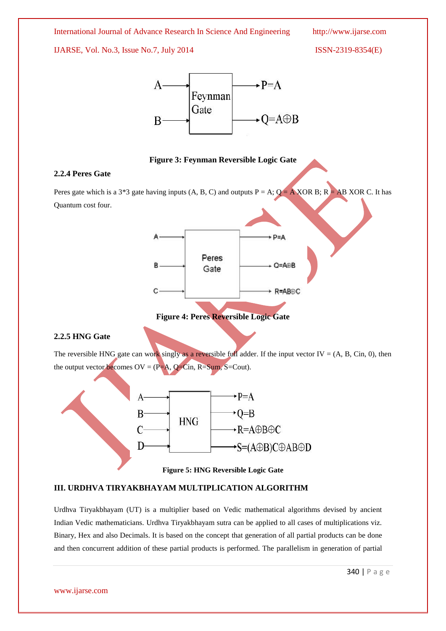IJARSE, Vol. No.3, Issue No.7, July 2014 ISSN-2319-8354(E)



#### **Figure 3: Feynman Reversible Logic Gate**

#### **2.2.4 Peres Gate**

Peres gate which is a 3\*3 gate having inputs (A, B, C) and outputs  $P = A$ ;  $Q = A XOR B$ ;  $R = AB XOR C$ . It has Quantum cost four.



#### **Figure 4: Peres Reversible Logic Gate**

#### **2.2.5 HNG Gate**

The reversible HNG gate can work singly as a reversible full adder. If the input vector  $IV = (A, B, Cin, 0)$ , then the output vector becomes  $OV = (P=A, Q=Cin, R=Sum, S=Cout)$ .



**Figure 5: HNG Reversible Logic Gate**

### **III. URDHVA TIRYAKBHAYAM MULTIPLICATION ALGORITHM**

Urdhva Tiryakbhayam (UT) is a multiplier based on Vedic mathematical algorithms devised by ancient Indian Vedic mathematicians. Urdhva Tiryakbhayam sutra can be applied to all cases of multiplications viz. Binary, Hex and also Decimals. It is based on the concept that generation of all partial products can be done and then concurrent addition of these partial products is performed. The parallelism in generation of partial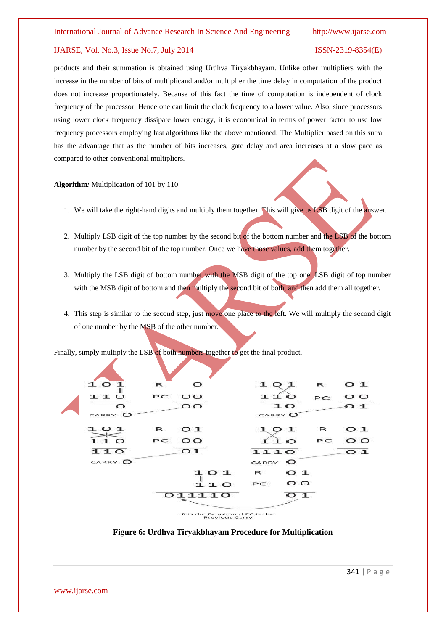products and their summation is obtained using Urdhva Tiryakbhayam. Unlike other multipliers with the increase in the number of bits of multiplicand and/or multiplier the time delay in computation of the product does not increase proportionately. Because of this fact the time of computation is independent of clock frequency of the processor. Hence one can limit the clock frequency to a lower value. Also, since processors using lower clock frequency dissipate lower energy, it is economical in terms of power factor to use low frequency processors employing fast algorithms like the above mentioned. The Multiplier based on this sutra has the advantage that as the number of bits increases, gate delay and area increases at a slow pace as compared to other conventional multipliers.

#### **Algorithm***:* Multiplication of 101 by 110

- 1. We will take the right-hand digits and multiply them together. This will give us LSB digit of the answer.
- 2. Multiply LSB digit of the top number by the second bit of the bottom number and the LSB of the bottom number by the second bit of the top number. Once we have those values, add them together.
- 3. Multiply the LSB digit of bottom number with the MSB digit of the top one, LSB digit of top number with the MSB digit of bottom and then multiply the second bit of both, and then add them all together.
- 4. This step is similar to the second step, just move one place to the left. We will multiply the second digit of one number by the MSB of the other number.

Finally, simply multiply the LSB of both numbers together to get the final product.

| 101                                  | R     | $\circ$         | 101     |                | R  | O <sub>1</sub> |  |  |
|--------------------------------------|-------|-----------------|---------|----------------|----|----------------|--|--|
| 1 1 O                                | PC OO |                 | 1 1 O   |                | PC | $\circ$        |  |  |
| $\bullet$                            |       | $\overline{O}O$ |         | 10             |    | $\mathbf{0}$ 1 |  |  |
| CARRY O                              |       |                 | CARRY O |                |    |                |  |  |
| 101                                  | R     | O1              | 101     |                | R  | $\Omega$ 1     |  |  |
| 110                                  | PC OO |                 | 110     |                | РC | $\circ$        |  |  |
| 110                                  |       | O1              | 1110    |                |    | O <sub>1</sub> |  |  |
| CARRY O                              |       |                 | CARRY O |                |    |                |  |  |
|                                      |       | 101             | R       | O <sub>1</sub> |    |                |  |  |
|                                      |       | 110             | PC      | $\mathbf{o}$   |    |                |  |  |
|                                      |       | 011110          |         | O <sub>1</sub> |    |                |  |  |
|                                      |       |                 |         |                |    |                |  |  |
| <b>B</b> is the Besult and PC is the |       |                 |         |                |    |                |  |  |

e Result and PC<br>Previous Carry

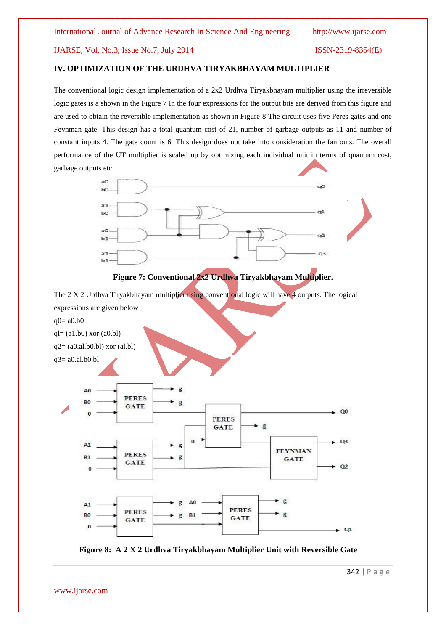#### **IV. OPTIMIZATION OF THE URDHVA TIRYAKBHAYAM MULTIPLIER**

The conventional logic design implementation of a 2x2 Urdhva Tiryakbhayam multiplier using the irreversible logic gates is a shown in the Figure 7 In the four expressions for the output bits are derived from this figure and are used to obtain the reversible implementation as shown in Figure 8 The circuit uses five Peres gates and one Feynman gate. This design has a total quantum cost of 21, number of garbage outputs as 11 and number of constant inputs 4. The gate count is 6. This design does not take into consideration the fan outs. The overall performance of the UT multiplier is scaled up by optimizing each individual unit in terms of quantum cost, garbage outputs etc



**Figure 7: Conventional 2x2 Urdhva Tiryakbhayam Multiplier.**

The 2 X 2 Urdhva Tiryakbhayam multiplier using conventional logic will have 4 outputs. The logical expressions are given below  $q0= a0.b0$ 



 $q2 = (a0.a1.b0.b1)$  xor  $(a1.b1)$ 

 $q3 = a0.a1.b0.b1$ 



**Figure 8: A 2 X 2 Urdhva Tiryakbhayam Multiplier Unit with Reversible Gate**

www.ijarse.com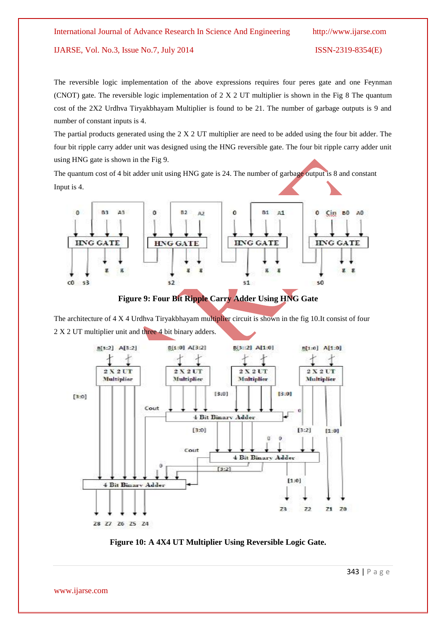The reversible logic implementation of the above expressions requires four peres gate and one Feynman (CNOT) gate. The reversible logic implementation of  $2 \times 2$  UT multiplier is shown in the Fig 8 The quantum cost of the 2X2 Urdhva Tiryakbhayam Multiplier is found to be 21. The number of garbage outputs is 9 and number of constant inputs is 4.

The partial products generated using the 2 X 2 UT multiplier are need to be added using the four bit adder. The four bit ripple carry adder unit was designed using the HNG reversible gate. The four bit ripple carry adder unit using HNG gate is shown in the Fig 9.

The quantum cost of 4 bit adder unit using HNG gate is 24. The number of garbage output is 8 and constant Input is 4.



**Figure 9: Four Bit Ripple Carry Adder Using HNG Gate**

The architecture of 4 X 4 Urdhva Tiryakbhayam multiplier circuit is shown in the fig 10.It consist of four 2 X 2 UT multiplier unit and three 4 bit binary adders.



**Figure 10: A 4X4 UT Multiplier Using Reversible Logic Gate.**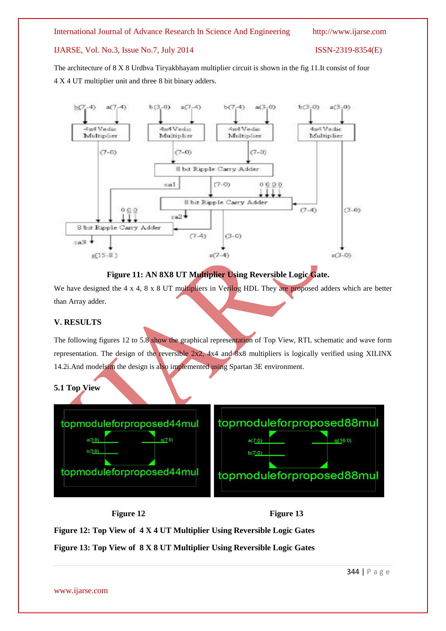#### IJARSE, Vol. No.3, Issue No.7, July 2014 ISSN-2319-8354(E)

The architecture of 8 X 8 Urdhva Tiryakbhayam multiplier circuit is shown in the fig 11.It consist of four 4 X 4 UT multiplier unit and three 8 bit binary adders.



### **Figure 11: AN 8X8 UT Multiplier Using Reversible Logic Gate.**

We have designed the 4 x 4, 8 x 8 UT multipliers in Verilog HDL They are proposed adders which are better than Array adder.

#### **V. RESULTS**

The following figures 12 to 5.8 show the graphical representation of Top View, RTL schematic and wave form representation. The design of the reversible 2x2, 4x4 and 8x8 multipliers is logically verified using XILINX 14.2i.And modelsim the design is also implemented using Spartan 3E environment.

### **5.1 Top View**



#### **Figure 12** Figure 13

**Figure 12: Top View of 4 X 4 UT Multiplier Using Reversible Logic Gates**

**Figure 13: Top View of 8 X 8 UT Multiplier Using Reversible Logic Gates**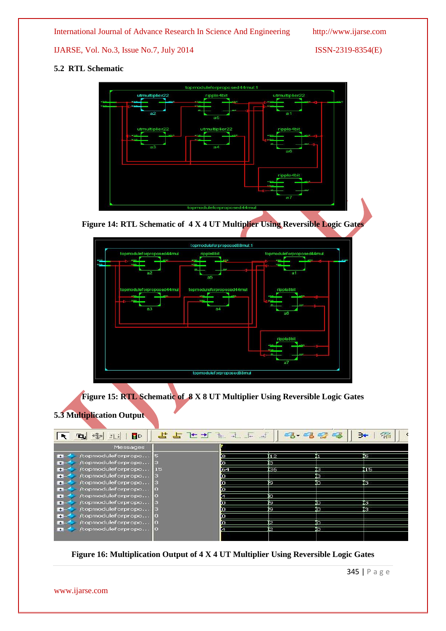IJARSE, Vol. No.3, Issue No.7, July 2014 ISSN-2319-8354(E)

### **5.2 RTL Schematic**



**Figure 14: RTL Schematic of 4 X 4 UT Multiplier Using Reversible Logic Gates**



**Figure 15: RTL Schematic of 8 X 8 UT Multiplier Using Reversible Logic Gates**

### **5.3 Multiplication Output**

| 3.<br>$\mathbf{B}^{\mathcal{D}}$     | $^{+}$ | L L S<br>$\mathbb{R}$ | 9.991 |    | 繙  |
|--------------------------------------|--------|-----------------------|-------|----|----|
| <b>Messages</b>                      |        |                       |       |    |    |
| /topmoduleforpropo<br><b>H</b>       | Б      | в                     | 12    |    | 5  |
| /topmoduleforpropo<br>m -            | B      | я                     | з     |    |    |
| /topmoduleforpropo<br>$+1$           | 15     | 64                    | 66    | з  | 15 |
| /topmoduleforpropo<br><b>+</b>       | в      |                       |       | з  |    |
| /topmoduleforpropo<br>$+1$           | B      |                       | σ     | о  | з  |
| /topmoduleforpropo<br>$\blacksquare$ | Ю      |                       |       |    |    |
| /topmoduleforpropo<br>$+1$           | ю      | 4                     | о     |    |    |
| /topmoduleforpropo<br>æ.             | IЗ     | 'n                    | σ     | о  | з  |
| /topmoduleforpropo<br>$+1$           | в      |                       | ο     | 'n | з  |
| /topmoduleforpropo<br>m.             | ю      |                       |       |    |    |
| /topmoduleforpropo<br>$+ -$          | ١o     |                       | Ξ     | о  |    |
| /topmoduleforpropo<br>$+ -$          | Ю      | 4                     | 12    | ю  |    |
|                                      |        |                       |       |    |    |

**Figure 16: Multiplication Output of 4 X 4 UT Multiplier Using Reversible Logic Gates**

345 | P a g e

www.ijarse.com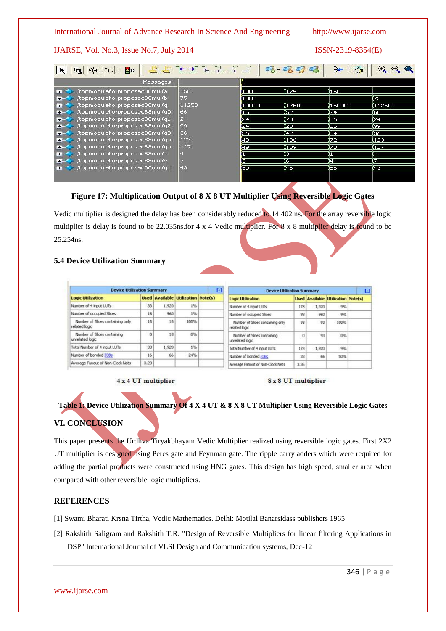### IJARSE, Vol. No.3, Issue No.7, July 2014 ISSN-2319-8354(E)

| B <sub>D</sub><br>图刻                          |       | $\begin{bmatrix} 1 & 1 \\ 1 & 1 \\ 1 & 1 \end{bmatrix}$<br>о<br>-38 |       |       |        |  |  |  |
|-----------------------------------------------|-------|---------------------------------------------------------------------|-------|-------|--------|--|--|--|
| Messages                                      |       |                                                                     |       |       |        |  |  |  |
| /topmoduleforproposed88mul/a<br><b>H</b>      | 150   | 100                                                                 | 125   | 150   |        |  |  |  |
| /topmoduleforproposed88mul/b<br>$\mathbf{H}$  | 75    | 100                                                                 |       |       | 175.   |  |  |  |
| /topmoduleforproposed88mul/q<br>$\pm$         | 11250 | 10000                                                               | 12500 | 15000 | (11250 |  |  |  |
| /topmoduleforproposed88mul/q0<br>$+1$         | 66    | 16                                                                  | 52    | 124   | 166    |  |  |  |
| /topmoduleforproposed88mul/q1<br>$+$          | 24    | 24                                                                  | 78    | 36    | 124    |  |  |  |
| /topmoduleforproposed88mul/q2<br>æ.           | 99    | 24                                                                  | ľ28.  | 136   | 199    |  |  |  |
| /topmoduleforproposed88mul/q3<br>$\mathbf{H}$ | 36    | 36                                                                  | 42    | 154   | 136    |  |  |  |
| /topmoduleforproposed88mul/qa-<br>æ.          | 123   | 48.                                                                 | 106   | 72    | 123    |  |  |  |
| /topmoduleforproposed88mul/qb-<br>$+1$        | 127   | 49                                                                  | 109   | 73    | 1127   |  |  |  |
| /topmoduleforproposed88mul/x<br>$+1$          |       |                                                                     | в     |       | Ϊ4     |  |  |  |
| /topmoduleforproposed88mul/y<br>æ.            |       | в                                                                   | 6     | 14    | ☞      |  |  |  |
| /topmoduleforproposed88mul/qc<br><b>H</b>     | 43    | 139                                                                 | 148   | 158   | Ï4З    |  |  |  |
|                                               |       |                                                                     |       |       |        |  |  |  |

### **Figure 17: Multiplication Output of 8 X 8 UT Multiplier Using Reversible Logic Gates**

Vedic multiplier is designed the delay has been considerably reduced to 14.402 ns. For the array reversible logic multiplier is delay is found to be 22.035ns.for 4 x 4 Vedic multiplier. For 8 x 8 multiplier delay is found to be 25.254ns.

### **5.4 Device Utilization Summary**

| <b>Device Utilization Summary</b>                 |          |       |                                           |  | ы<br><b>Device Utilization Summary</b>            |          |       |                                           | H |
|---------------------------------------------------|----------|-------|-------------------------------------------|--|---------------------------------------------------|----------|-------|-------------------------------------------|---|
| <b>Logic Utilization</b>                          |          |       | <b>Used Available Utilization Note(s)</b> |  | <b>Logic Utilization</b>                          |          |       | <b>Used Available Utilization Note(s)</b> |   |
| Number of 4 input LUTs                            | 33       | 1,920 | 1%                                        |  | Number of 4 input LUTs                            | 173      | 1,920 | 9%                                        |   |
| Number of accupied Slices                         | 18       | 960   | $1\%$                                     |  | Number of occupied Slices                         | 93       | 960   | 9%                                        |   |
| Number of Slices containing only<br>related logic | 18       | 18    | 100%                                      |  | Number of Slices containing only<br>related logic | 93       | 93    | 100%                                      |   |
| Number of Slices containing<br>unrelated logic    | $\Omega$ | 18    | 0%                                        |  | Number of Slices containing<br>unrelated logic    | $\alpha$ | 93    | 0%                                        |   |
| Total Number of 4 input LUTs                      | 33       | 1,920 | 1%                                        |  | Total Number of 4 input LUTs                      | 173      | 1,920 | 9%                                        |   |
| Number of bonded IOBs                             | 16       | 66    | 24%                                       |  | Number of bonded IOBs                             | 33       | 66    | 50%                                       |   |
| Average Fanout of Non-Clock Nets                  | 3.23     |       |                                           |  | Average Fanout of Non-Clock Nets                  | 3.36     |       |                                           |   |

#### 4 x 4 UT multiplier

#### 8 x 8 UT multiplier

# **Table 1: Device Utilization Summary Of 4 X 4 UT & 8 X 8 UT Multiplier Using Reversible Logic Gates VI. CONCLUSION**

This paper presents the Urdhva Tiryakbhayam Vedic Multiplier realized using reversible logic gates. First 2X2 UT multiplier is designed using Peres gate and Feynman gate. The ripple carry adders which were required for adding the partial products were constructed using HNG gates. This design has high speed, smaller area when compared with other reversible logic multipliers.

#### **REFERENCES**

- [1] Swami Bharati Krsna Tirtha, Vedic Mathematics. Delhi: Motilal Banarsidass publishers 1965
- [2] Rakshith Saligram and Rakshith T.R. "Design of Reversible Multipliers for linear filtering Applications in DSP" International Journal of VLSI Design and Communication systems, Dec-12